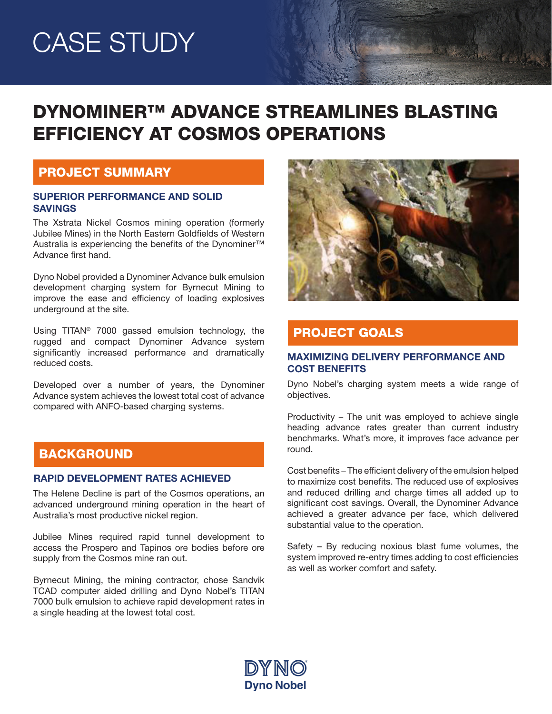# CASE STUDY

# DYNOMINER™ ADVANCE STREAMLINES BLASTING EFFICIENCY AT COSMOS OPERATIONS

#### PROJECT SUMMARY

#### SUPERIOR PERFORMANCE AND SOLID SAVINGS

The Xstrata Nickel Cosmos mining operation (formerly Jubilee Mines) in the North Eastern Goldfields of Western Australia is experiencing the benefits of the Dynominer<sup>™</sup> Advance first hand.

Dyno Nobel provided a Dynominer Advance bulk emulsion development charging system for Byrnecut Mining to improve the ease and efficiency of loading explosives underground at the site.

Using TITAN® 7000 gassed emulsion technology, the rugged and compact Dynominer Advance system significantly increased performance and dramatically reduced costs.

Developed over a number of years, the Dynominer Advance system achieves the lowest total cost of advance compared with ANFO-based charging systems.

## **BACKGROUND**

#### RAPID DEVELOPMENT RATES ACHIEVED

The Helene Decline is part of the Cosmos operations, an advanced underground mining operation in the heart of Australia's most productive nickel region.

Jubilee Mines required rapid tunnel development to access the Prospero and Tapinos ore bodies before ore supply from the Cosmos mine ran out.

Byrnecut Mining, the mining contractor, chose Sandvik TCAD computer aided drilling and Dyno Nobel's TITAN 7000 bulk emulsion to achieve rapid development rates in a single heading at the lowest total cost.



Maria Carried

## PROJECT GOALS

#### MAXIMIZING DELIVERY PERFORMANCE AND COST BENEFITS

Dyno Nobel's charging system meets a wide range of objectives.

Productivity – The unit was employed to achieve single heading advance rates greater than current industry benchmarks. What's more, it improves face advance per round.

Cost benefits – The efficient delivery of the emulsion helped to maximize cost benefits. The reduced use of explosives and reduced drilling and charge times all added up to significant cost savings. Overall, the Dynominer Advance achieved a greater advance per face, which delivered substantial value to the operation.

Safety – By reducing noxious blast fume volumes, the system improved re-entry times adding to cost efficiencies as well as worker comfort and safety.